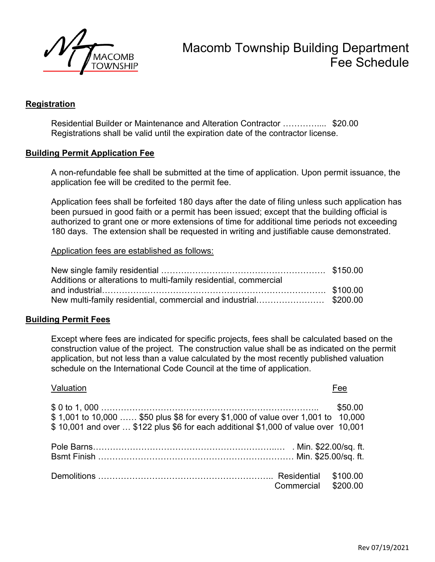

# Macomb Township Building Department Fee Schedule

## **Registration**

 Residential Builder or Maintenance and Alteration Contractor ………….... \$20.00 Registrations shall be valid until the expiration date of the contractor license.

### **Building Permit Application Fee**

A non-refundable fee shall be submitted at the time of application. Upon permit issuance, the application fee will be credited to the permit fee.

Application fees shall be forfeited 180 days after the date of filing unless such application has been pursued in good faith or a permit has been issued; except that the building official is authorized to grant one or more extensions of time for additional time periods not exceeding 180 days. The extension shall be requested in writing and justifiable cause demonstrated.

#### Application fees are established as follows:

| Additions or alterations to multi-family residential, commercial |  |
|------------------------------------------------------------------|--|
|                                                                  |  |
| New multi-family residential, commercial and industrial\$200.00  |  |

### **Building Permit Fees**

Except where fees are indicated for specific projects, fees shall be calculated based on the construction value of the project. The construction value shall be as indicated on the permit application, but not less than a value calculated by the most recently published valuation schedule on the International Code Council at the time of application.

# Valuation Fee \$ 0 to 1, 000 ………………………………………………………………….. \$50.00 \$ 1,001 to 10,000 …… \$50 plus \$8 for every \$1,000 of value over 1,001 to 10,000 \$ 10,001 and over … \$122 plus \$6 for each additional \$1,000 of value over 10,001 Pole Barns………………………………………………………..… . Min. \$22.00/sq. ft. Bsmt Finish …………………………………………………………… Min. \$25.00/sq. ft. Demolitions …………………………………………………….. Residential \$100.00 Commercial \$200.00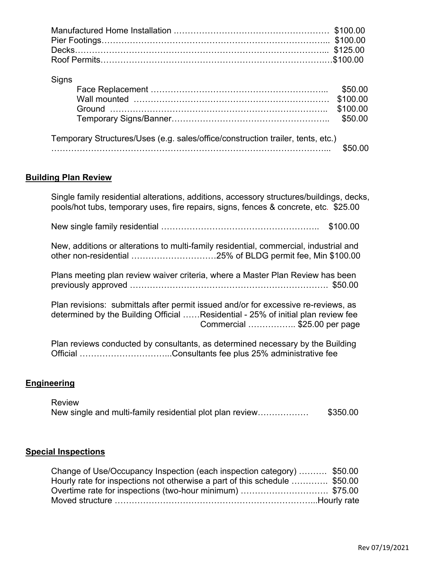# Signs

| Temporary Structures/Uses (e.g. sales/office/construction trailer, tents, etc.) |         |
|---------------------------------------------------------------------------------|---------|
|                                                                                 | \$50.00 |

# **Building Plan Review**

| Single family residential alterations, additions, accessory structures/buildings, decks,<br>pools/hot tubs, temporary uses, fire repairs, signs, fences & concrete, etc. \$25.00                      |
|-------------------------------------------------------------------------------------------------------------------------------------------------------------------------------------------------------|
| \$100.00                                                                                                                                                                                              |
| New, additions or alterations to multi-family residential, commercial, industrial and                                                                                                                 |
| Plans meeting plan review waiver criteria, where a Master Plan Review has been                                                                                                                        |
| Plan revisions: submittals after permit issued and/or for excessive re-reviews, as<br>determined by the Building Official Residential - 25% of initial plan review fee<br>Commercial \$25.00 per page |
| Plan reviews conducted by consultants, as determined necessary by the Building                                                                                                                        |

## **Engineering**

| Review                                                   |          |
|----------------------------------------------------------|----------|
| New single and multi-family residential plot plan review | \$350.00 |

Official …………………………...Consultants fee plus 25% administrative fee

# **Special Inspections**

| Change of Use/Occupancy Inspection (each inspection category)  \$50.00    |  |
|---------------------------------------------------------------------------|--|
| Hourly rate for inspections not otherwise a part of this schedule \$50.00 |  |
| Overtime rate for inspections (two-hour minimum) \$75.00                  |  |
|                                                                           |  |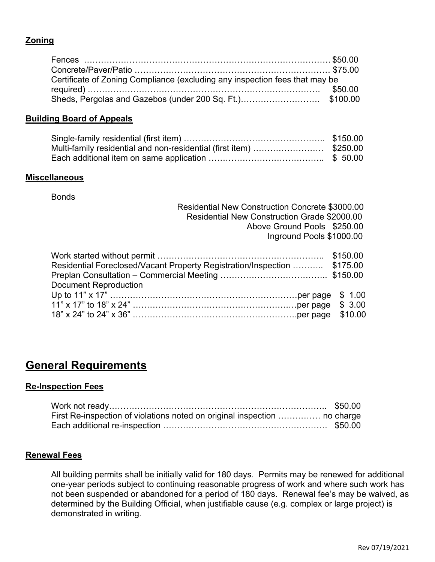## **Zoning**

| Certificate of Zoning Compliance (excluding any inspection fees that may be |  |
|-----------------------------------------------------------------------------|--|
|                                                                             |  |
|                                                                             |  |

### **Building Board of Appeals**

| Multi-family residential and non-residential (first item) \$250.00 |  |
|--------------------------------------------------------------------|--|
|                                                                    |  |

### **Miscellaneous**

**Bonds** 

|                             | Residential New Construction Concrete \$3000.00 |
|-----------------------------|-------------------------------------------------|
|                             | Residential New Construction Grade \$2000.00    |
|                             | Above Ground Pools \$250.00                     |
|                             | Inground Pools \$1000.00                        |
|                             |                                                 |
| Mark otarted without permit | 0.4500                                          |

| Residential Foreclosed/Vacant Property Registration/Inspection  \$175.00 |  |
|--------------------------------------------------------------------------|--|
|                                                                          |  |
| <b>Document Reproduction</b>                                             |  |
|                                                                          |  |
|                                                                          |  |
|                                                                          |  |
|                                                                          |  |

# **General Requirements**

### **Re-Inspection Fees**

| First Re-inspection of violations noted on original inspection  no charge |  |
|---------------------------------------------------------------------------|--|
|                                                                           |  |

### **Renewal Fees**

All building permits shall be initially valid for 180 days. Permits may be renewed for additional one-year periods subject to continuing reasonable progress of work and where such work has not been suspended or abandoned for a period of 180 days. Renewal fee's may be waived, as determined by the Building Official, when justifiable cause (e.g. complex or large project) is demonstrated in writing.